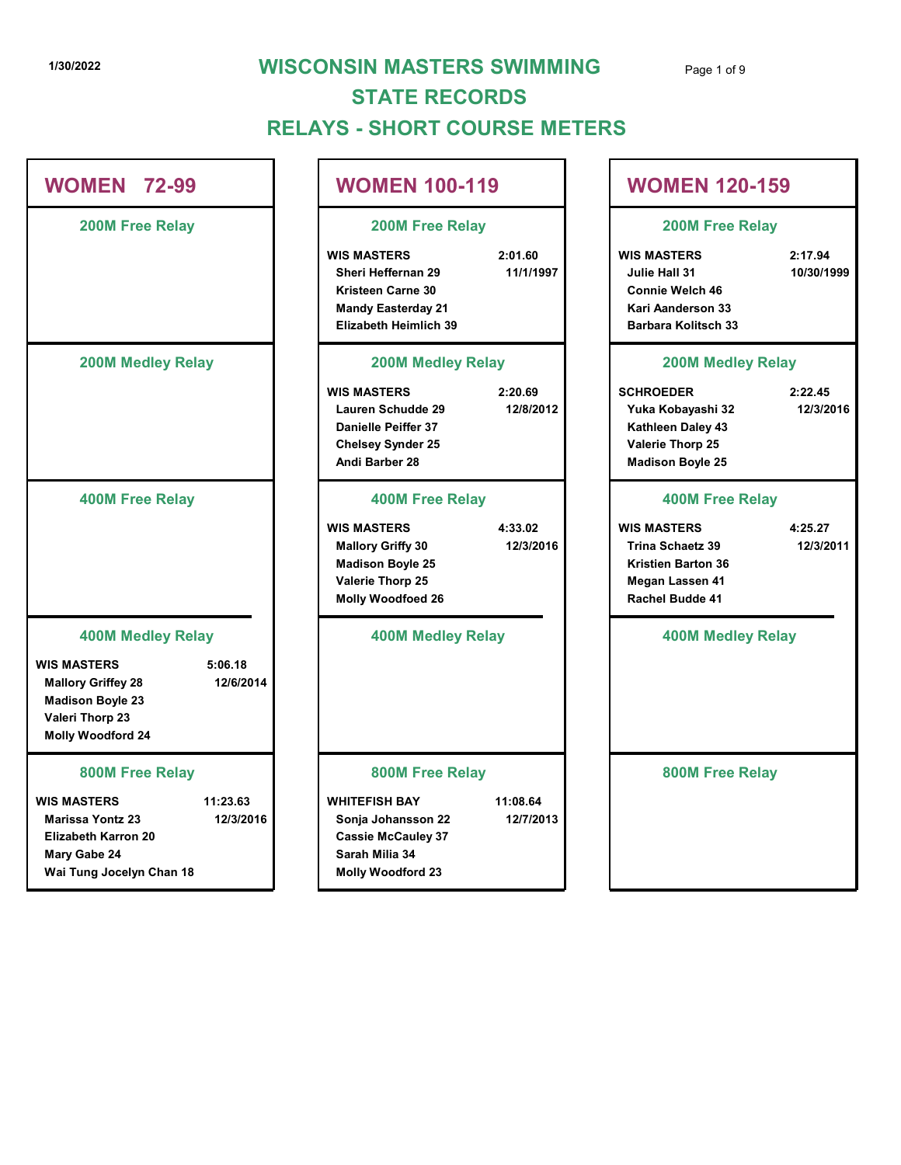# 1/30/2022 **WISCONSIN MASTERS SWIMMING** Page 1 of 9 RELAYS - SHORT COURSE METERS STATE RECORDS

|                                                                                                                                                   | <b>RELAYS - SHORT COURSE METERS</b>                                                                                        | <b>STATE RECORDS</b>  |                                                                                                                         |                       |
|---------------------------------------------------------------------------------------------------------------------------------------------------|----------------------------------------------------------------------------------------------------------------------------|-----------------------|-------------------------------------------------------------------------------------------------------------------------|-----------------------|
| <b>WOMEN 72-99</b>                                                                                                                                | <b>WOMEN 100-119</b>                                                                                                       |                       | <b>WOMEN 120-159</b>                                                                                                    |                       |
| 200M Free Relay                                                                                                                                   | 200M Free Relay                                                                                                            |                       | 200M Free Relay                                                                                                         |                       |
|                                                                                                                                                   | <b>WIS MASTERS</b><br>Sheri Heffernan 29<br>Kristeen Carne 30<br><b>Mandy Easterday 21</b><br><b>Elizabeth Heimlich 39</b> | 2:01.60<br>11/1/1997  | <b>WIS MASTERS</b><br>Julie Hall 31<br>Connie Welch 46<br><b>Kari Aanderson 33</b><br><b>Barbara Kolitsch 33</b>        | 2:17.94<br>10/30/1999 |
| <b>200M Medley Relay</b>                                                                                                                          | <b>200M Medley Relay</b>                                                                                                   |                       | <b>200M Medley Relay</b>                                                                                                |                       |
|                                                                                                                                                   | <b>WIS MASTERS</b><br>Lauren Schudde 29<br>Danielle Peiffer 37<br><b>Chelsey Synder 25</b><br>Andi Barber 28               | 2:20.69<br>12/8/2012  | <b>SCHROEDER</b><br>Yuka Kobayashi 32<br>Kathleen Daley 43<br>Valerie Thorp 25<br><b>Madison Boyle 25</b>               | 2:22.45<br>12/3/2016  |
| <b>400M Free Relay</b>                                                                                                                            | <b>400M Free Relay</b>                                                                                                     |                       | <b>400M Free Relay</b>                                                                                                  |                       |
|                                                                                                                                                   | <b>WIS MASTERS</b><br><b>Mallory Griffy 30</b><br><b>Madison Boyle 25</b><br>Valerie Thorp 25<br><b>Molly Woodfoed 26</b>  | 4:33.02<br>12/3/2016  | <b>WIS MASTERS</b><br><b>Trina Schaetz 39</b><br><b>Kristien Barton 36</b><br><b>Megan Lassen 41</b><br>Rachel Budde 41 | 4:25.27<br>12/3/2011  |
| <b>400M Medley Relay</b>                                                                                                                          | <b>400M Medley Relay</b>                                                                                                   |                       | <b>400M Medley Relay</b>                                                                                                |                       |
| <b>WIS MASTERS</b><br>5:06.18<br>12/6/2014<br><b>Mallory Griffey 28</b><br><b>Madison Boyle 23</b><br>Valeri Thorp 23<br><b>Molly Woodford 24</b> |                                                                                                                            |                       |                                                                                                                         |                       |
| 800M Free Relay                                                                                                                                   | 800M Free Relay                                                                                                            |                       | 800M Free Relay                                                                                                         |                       |
| 11:23.63<br><b>WIS MASTERS</b><br>12/3/2016<br><b>Marissa Yontz 23</b><br><b>Elizabeth Karron 20</b><br>Mary Gabe 24<br>Wai Tung Jocelyn Chan 18  | <b>WHITEFISH BAY</b><br>Sonja Johansson 22<br><b>Cassie McCauley 37</b><br>Sarah Milia 34<br><b>Molly Woodford 23</b>      | 11:08.64<br>12/7/2013 |                                                                                                                         |                       |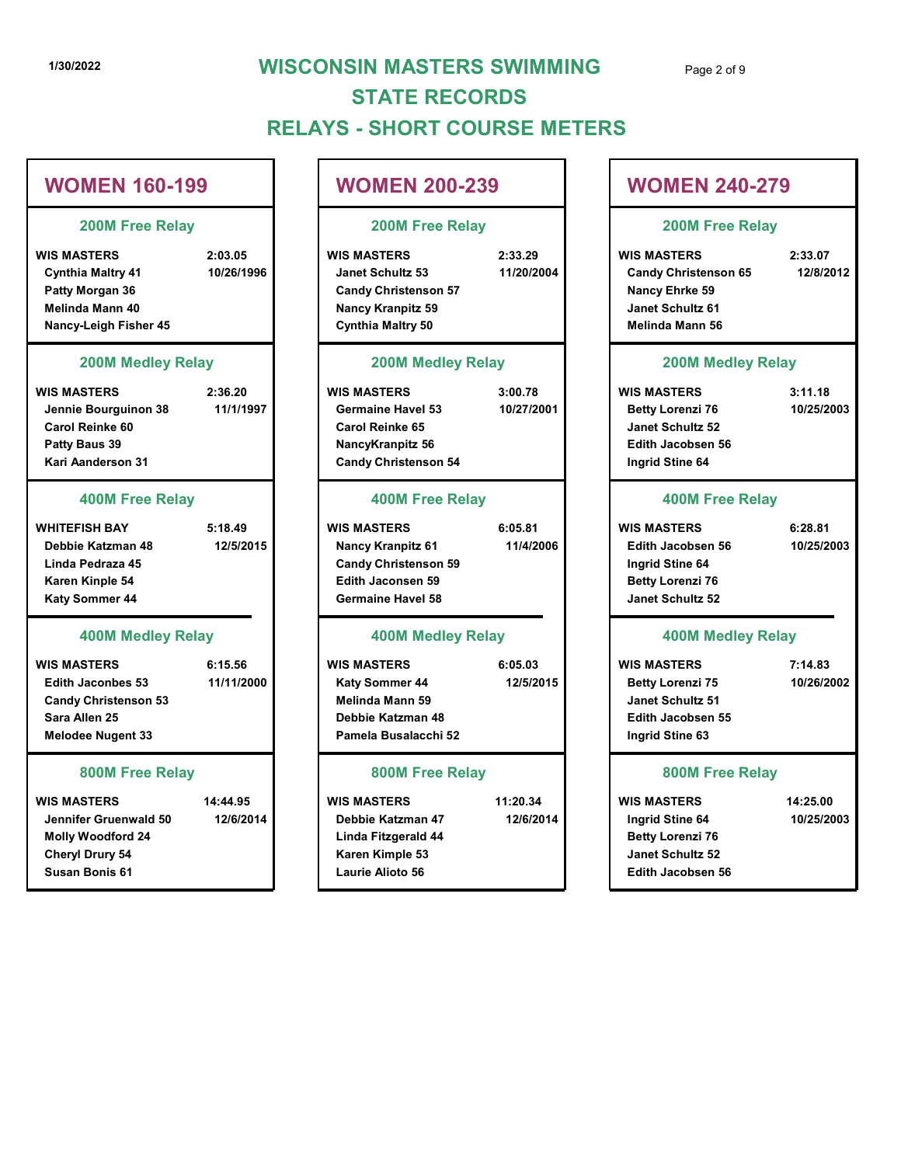# 1/30/2022 WISCONSIN MASTERS SWIMMING Page 2 of 9 RELAYS - SHORT COURSE METERS STATE RECORDS 1/30/2022<br>
WISCONSIN MASTERS SWIMMING<br>
STATE RECORDS<br>
RELAYS - SHORT COURSE METERS<br>
WOMEN 160-199<br>
200M Free Relay<br>
WISCONSIN MASTERS<br>
WOMEN 200-239<br>
200M Free Relay<br>
200M Free Relay<br>
WISCONSIN MASTERS<br>
200M FREE RECORDS<br> 1/30/2022<br>
1/30/2022<br>
WISCONSIN MASTERS SWIMMING<br>
STATE RECORDS<br>
RELAYS - SHORT COURSE METERS<br>
WOMEN 160-199<br>
200M Free Relay<br>
2:03.05<br>
Cynthia Mattry 41<br>
Patty Morgan 36<br>
Cynthia Mattry 41<br>
Patty Morgan 36<br>
Mande Mann 40

# WOMEN 160-199

#### 200M Free Relay

#### 200M Medley Relay

#### 400M Free Relay

#### 400M Medley Relay

#### 800M Free Relay

#### 200M Free Relay

#### 200M Medley Relay

#### 400M Free Relay

#### 400M Medley Relay

#### 800M Free Relay

- Linda Fitzgerald 44 Karen Kimple 53 Laurie Alioto 56
- 11:20.34
- 

|                                                                                                                            |                       | <b>STATE RECORDS</b><br><b>RELAYS - SHORT COURSE METERS</b>                                                                           |                       |                                                                                                                   |                        |  |
|----------------------------------------------------------------------------------------------------------------------------|-----------------------|---------------------------------------------------------------------------------------------------------------------------------------|-----------------------|-------------------------------------------------------------------------------------------------------------------|------------------------|--|
| <b>WOMEN 160-199</b>                                                                                                       |                       | <b>WOMEN 200-239</b>                                                                                                                  |                       | <b>WOMEN 240-279</b><br>200M Free Relay                                                                           |                        |  |
| 200M Free Relay                                                                                                            |                       | <b>200M Free Relay</b>                                                                                                                |                       |                                                                                                                   |                        |  |
| <b>WIS MASTERS</b><br><b>Cynthia Maltry 41</b><br>Patty Morgan 36<br>Melinda Mann 40<br>Nancy-Leigh Fisher 45              | 2:03.05<br>10/26/1996 | <b>WIS MASTERS</b><br><b>Janet Schultz 53</b><br><b>Candy Christenson 57</b><br><b>Nancy Kranpitz 59</b><br><b>Cynthia Maltry 50</b>  | 2:33.29<br>11/20/2004 | <b>WIS MASTERS</b><br><b>Candy Christenson 65</b><br>Nancy Ehrke 59<br>Janet Schultz 61<br><b>Melinda Mann 56</b> | 2:33.07<br>12/8/2012   |  |
| <b>200M Medley Relay</b>                                                                                                   |                       | <b>200M Medley Relay</b>                                                                                                              |                       | <b>200M Medley Relay</b>                                                                                          |                        |  |
| <b>WIS MASTERS</b><br>Jennie Bourguinon 38<br>Carol Reinke 60<br>Patty Baus 39<br>Kari Aanderson 31                        | 2:36.20<br>11/1/1997  | <b>WIS MASTERS</b><br><b>Germaine Havel 53</b><br>Carol Reinke 65<br>NancyKranpitz 56<br><b>Candy Christenson 54</b>                  | 3:00.78<br>10/27/2001 | <b>WIS MASTERS</b><br><b>Betty Lorenzi 76</b><br>Janet Schultz 52<br><b>Edith Jacobsen 56</b><br>Ingrid Stine 64  | 3:11.18<br>10/25/2003  |  |
| <b>400M Free Relay</b>                                                                                                     |                       | <b>400M Free Relay</b>                                                                                                                |                       | <b>400M Free Relay</b>                                                                                            |                        |  |
| <b>WHITEFISH BAY</b><br>Debbie Katzman 48<br>Linda Pedraza 45<br>Karen Kinple 54<br>Katy Sommer 44                         | 5:18.49<br>12/5/2015  | <b>WIS MASTERS</b><br><b>Nancy Kranpitz 61</b><br><b>Candy Christenson 59</b><br><b>Edith Jaconsen 59</b><br><b>Germaine Havel 58</b> | 6:05.81<br>11/4/2006  | <b>WIS MASTERS</b><br><b>Edith Jacobsen 56</b><br>Ingrid Stine 64<br><b>Betty Lorenzi 76</b><br>Janet Schultz 52  | 6:28.81<br>10/25/2003  |  |
| <b>400M Medley Relay</b>                                                                                                   |                       | <b>400M Medley Relay</b>                                                                                                              |                       | <b>400M Medley Relay</b>                                                                                          |                        |  |
| <b>WIS MASTERS</b><br><b>Edith Jaconbes 53</b><br><b>Candy Christenson 53</b><br>Sara Allen 25<br><b>Melodee Nugent 33</b> | 6:15.56<br>11/11/2000 | <b>WIS MASTERS</b><br><b>Katy Sommer 44</b><br>Melinda Mann 59<br>Debbie Katzman 48<br>Pamela Busalacchi 52                           | 6:05.03<br>12/5/2015  | <b>WIS MASTERS</b><br><b>Betty Lorenzi 75</b><br>Janet Schultz 51<br><b>Edith Jacobsen 55</b><br>Ingrid Stine 63  | 7:14.83<br>10/26/2002  |  |
| 800M Free Relay                                                                                                            |                       | 800M Free Relay                                                                                                                       |                       | <b>800M Free Relay</b>                                                                                            |                        |  |
| <b>WIS MASTERS</b><br>Jennifer Gruenwald 50<br><b>Molly Woodford 24</b><br>Cheryl Drury 54<br>Susan Bonis 61               | 14:44.95<br>12/6/2014 | <b>WIS MASTERS</b><br>Debbie Katzman 47<br>Linda Fitzgerald 44<br>Karen Kimple 53<br>Laurie Alioto 56                                 | 11:20.34<br>12/6/2014 | <b>WIS MASTERS</b><br>Ingrid Stine 64<br><b>Betty Lorenzi 76</b><br>Janet Schultz 52<br><b>Edith Jacobsen 56</b>  | 14:25.00<br>10/25/2003 |  |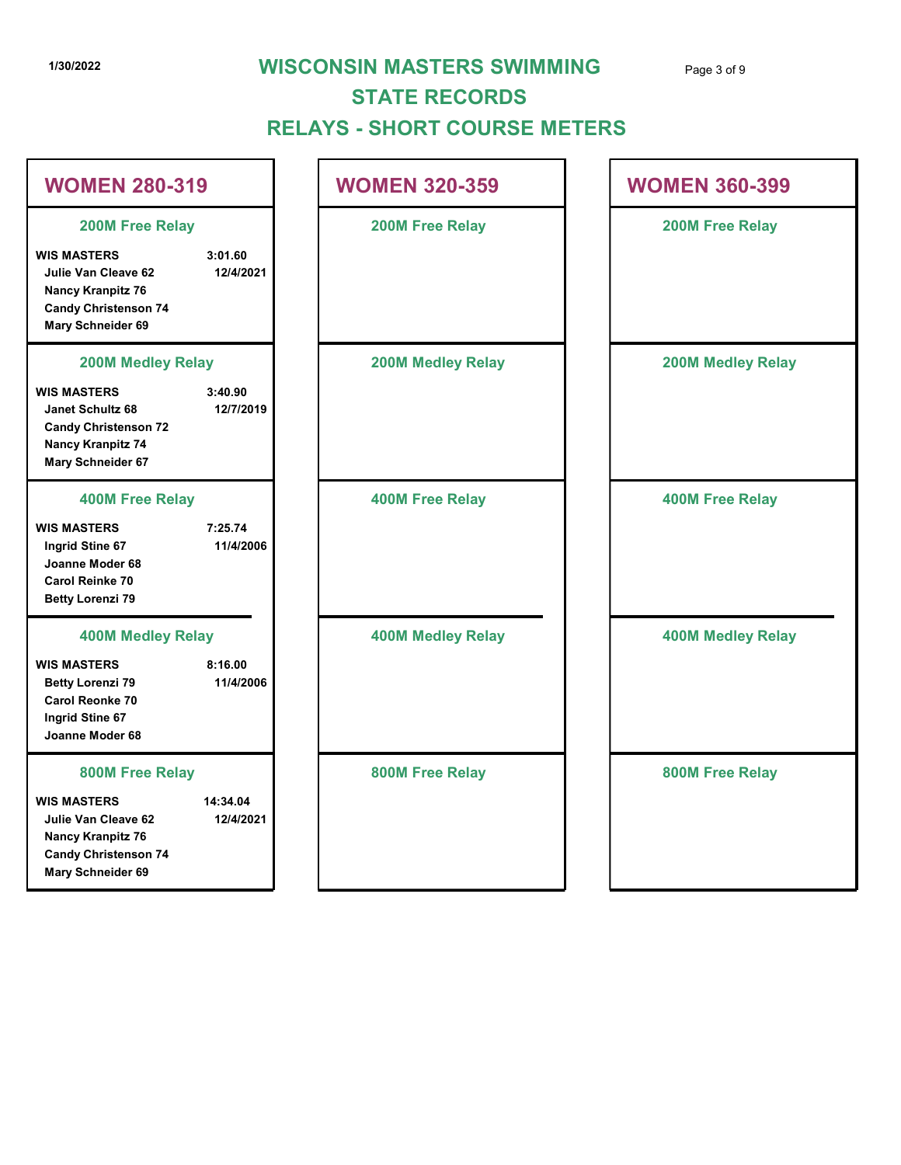# 1/30/2022 **WISCONSIN MASTERS SWIMMING** Page 3 of 9

# RELAYS - SHORT COURSE METERS STATE RECORDS

|                                                                                                                           |                       | <b>STATE RECORDS</b><br><b>RELAYS - SHORT COURSE METERS</b> |                          |  |
|---------------------------------------------------------------------------------------------------------------------------|-----------------------|-------------------------------------------------------------|--------------------------|--|
| <b>WOMEN 280-319</b>                                                                                                      |                       | <b>WOMEN 320-359</b>                                        | <b>WOMEN 360-399</b>     |  |
| 200M Free Relay                                                                                                           |                       | 200M Free Relay                                             | 200M Free Relay          |  |
| <b>WIS MASTERS</b><br>Julie Van Cleave 62<br><b>Nancy Kranpitz 76</b><br><b>Candy Christenson 74</b><br>Mary Schneider 69 | 3:01.60<br>12/4/2021  |                                                             |                          |  |
| <b>200M Medley Relay</b>                                                                                                  |                       | <b>200M Medley Relay</b>                                    | <b>200M Medley Relay</b> |  |
| <b>WIS MASTERS</b><br>Janet Schultz 68<br><b>Candy Christenson 72</b><br><b>Nancy Kranpitz 74</b><br>Mary Schneider 67    | 3:40.90<br>12/7/2019  |                                                             |                          |  |
| <b>400M Free Relay</b>                                                                                                    |                       | <b>400M Free Relay</b>                                      | <b>400M Free Relay</b>   |  |
| <b>WIS MASTERS</b><br>Ingrid Stine 67<br>Joanne Moder 68<br><b>Carol Reinke 70</b><br><b>Betty Lorenzi 79</b>             | 7:25.74<br>11/4/2006  |                                                             |                          |  |
| <b>400M Medley Relay</b>                                                                                                  |                       | <b>400M Medley Relay</b>                                    | <b>400M Medley Relay</b> |  |
| <b>WIS MASTERS</b><br><b>Betty Lorenzi 79</b><br>Carol Reonke 70<br>Ingrid Stine 67<br>Joanne Moder 68                    | 8:16.00<br>11/4/2006  |                                                             |                          |  |
| 800M Free Relay                                                                                                           |                       | 800M Free Relay                                             | 800M Free Relay          |  |
| <b>WIS MASTERS</b><br>Julie Van Cleave 62<br><b>Nancy Kranpitz 76</b><br><b>Candy Christenson 74</b><br>Mary Schneider 69 | 14:34.04<br>12/4/2021 |                                                             |                          |  |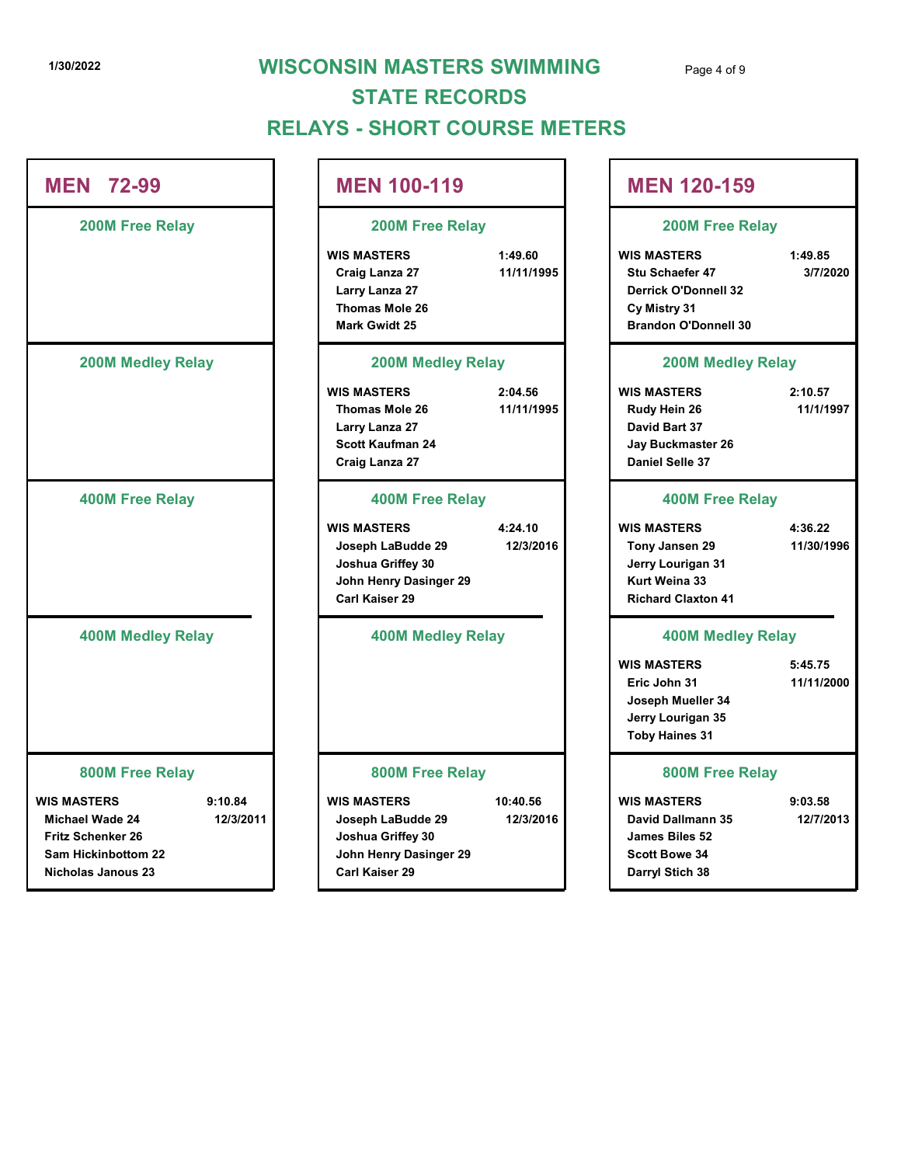# 1/30/2022 **WISCONSIN MASTERS SWIMMING** Page 4 of 9 RELAYS - SHORT COURSE METERS STATE RECORDS

|                                                                                                                                        | <b>STATE RECORDS</b><br><b>RELAYS - SHORT COURSE METERS</b>                                              | <b>WISCONSIN MASTERS SWIMMING</b> | Page 4 of 9                                                                                                         |                       |
|----------------------------------------------------------------------------------------------------------------------------------------|----------------------------------------------------------------------------------------------------------|-----------------------------------|---------------------------------------------------------------------------------------------------------------------|-----------------------|
| <b>MEN 72-99</b>                                                                                                                       | <b>MEN 100-119</b>                                                                                       |                                   | <b>MEN 120-159</b>                                                                                                  |                       |
| 200M Free Relay                                                                                                                        | <b>200M Free Relay</b>                                                                                   |                                   | 200M Free Relay                                                                                                     |                       |
|                                                                                                                                        | <b>WIS MASTERS</b><br>Craig Lanza 27<br>Larry Lanza 27<br>Thomas Mole 26<br><b>Mark Gwidt 25</b>         | 1:49.60<br>11/11/1995             | <b>WIS MASTERS</b><br>Stu Schaefer 47<br><b>Derrick O'Donnell 32</b><br>Cy Mistry 31<br><b>Brandon O'Donnell 30</b> | 1:49.85<br>3/7/2020   |
| <b>200M Medley Relay</b>                                                                                                               | <b>200M Medley Relay</b>                                                                                 |                                   | <b>200M Medley Relay</b>                                                                                            |                       |
|                                                                                                                                        | <b>WIS MASTERS</b><br>Thomas Mole 26<br>Larry Lanza 27<br>Scott Kaufman 24<br>Craig Lanza 27             | 2:04.56<br>11/11/1995             | <b>WIS MASTERS</b><br>Rudy Hein 26<br>David Bart 37<br>Jay Buckmaster 26<br>Daniel Selle 37                         | 2:10.57<br>11/1/1997  |
| <b>400M Free Relay</b>                                                                                                                 | <b>400M Free Relay</b>                                                                                   |                                   | <b>400M Free Relay</b>                                                                                              |                       |
|                                                                                                                                        | <b>WIS MASTERS</b><br>Joseph LaBudde 29<br>Joshua Griffey 30<br>John Henry Dasinger 29<br>Carl Kaiser 29 | 4:24.10<br>12/3/2016              | <b>WIS MASTERS</b><br>Tony Jansen 29<br>Jerry Lourigan 31<br>Kurt Weina 33<br><b>Richard Claxton 41</b>             | 4:36.22<br>11/30/1996 |
| <b>400M Medley Relay</b>                                                                                                               | <b>400M Medley Relay</b>                                                                                 |                                   | <b>400M Medley Relay</b>                                                                                            |                       |
|                                                                                                                                        |                                                                                                          |                                   | <b>WIS MASTERS</b><br>Eric John 31<br>Joseph Mueller 34<br>Jerry Lourigan 35<br><b>Toby Haines 31</b>               | 5:45.75<br>11/11/2000 |
| 800M Free Relay                                                                                                                        | 800M Free Relay                                                                                          |                                   | 800M Free Relay                                                                                                     |                       |
| 9:10.84<br><b>WIS MASTERS</b><br>Michael Wade 24<br>12/3/2011<br>Fritz Schenker 26<br>Sam Hickinbottom 22<br><b>Nicholas Janous 23</b> | <b>WIS MASTERS</b><br>Joseph LaBudde 29<br>Joshua Griffey 30<br>John Henry Dasinger 29<br>Carl Kaiser 29 | 10:40.56<br>12/3/2016             | <b>WIS MASTERS</b><br>David Dallmann 35<br>James Biles 52<br><b>Scott Bowe 34</b><br>Darryl Stich 38                | 9:03.58<br>12/7/2013  |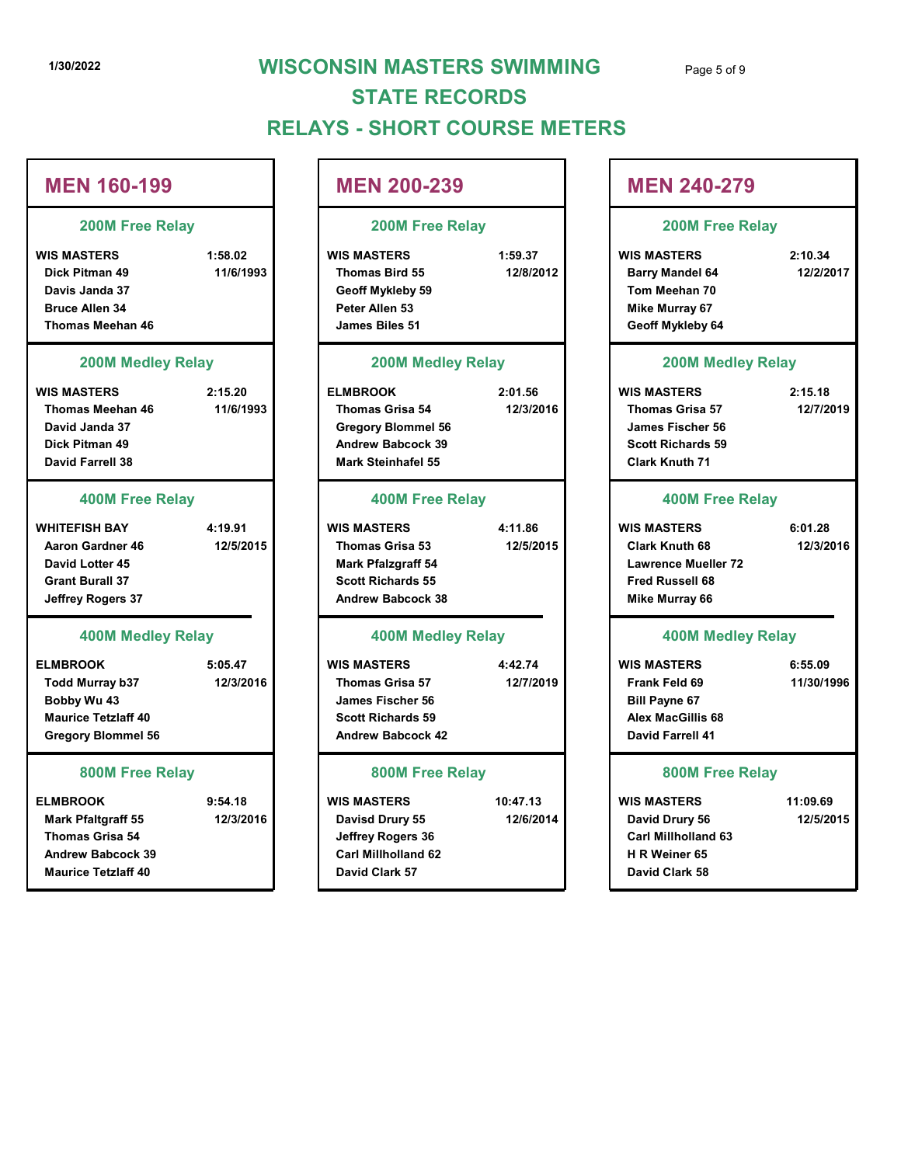# 1/30/2022 WISCONSIN MASTERS SWIMMING Page 5 of 9 RELAYS - SHORT COURSE METERS STATE RECORDS

# 1/30/2022<br>
WISCONSIN MASTERS SWIMMING<br>
STATE RECORDS<br>
RELAYS - SHORT COURSE METERS<br>
MEN 160-199<br>
200M Free Relay<br>
WIS MASTERS<br>
WIS MASTERS<br>
Dick Pitman 49<br>
Dixk Pitman 49<br>
Dixk Pitman 49<br>
Dixk Pitman 49<br>
Dixk Pitman 49<br>
D Dick Pitman 49 11/6/1993 Thomas Bird 55 12/8/2012 Davis Janda 37 Bruce Allen 34 Thomas Meehan 46 1/30/2022<br>
1/30/2022<br>
MEN 160-199<br>
200M Free Relay<br>
WISCONSIN MASTERS SWIMMING<br>
STATE RECORDS<br>
RELAYS - SHORT COURSE METERS<br>
MEN 200-239<br>
200M Free Relay<br>
200M Free Relay<br>
NES MASTERS<br>
Disk Pitman 49<br>
Disk Pitman 48<br>
Thom Thomas Meehan 46 11/6/1993 David Janda 37 Dick Pitman 49 David Farrell 38 MEN 160-199<br>
200M Free Relay<br>
WIS MASTERS<br>
Dick Pitman 49<br>
But Pitman 49<br>
Sancy and 37<br>
But Shares and 37<br>
But Shares and 37<br>
200M Modley Relay<br>
Shares Menhan 46<br>
200M Modley Relay<br>
200M Modley Relay<br>
200M Modley Relay<br>
20 Aaron Gardner 46 12/5/2015 | Thomas Grisa 53 12/5/2015 | Clark Knuth 68 12/3 David Lotter 45 Grant Burall 37 Jeffrey Rogers 37 ELMBROOK 5:05.47 WIS MASTERS Ence Allen 34<br>
Thomas Meehan 46<br>
1200M Medley Relay<br>
13 MAASTERS<br>
13 MAASTERS<br>
13 Maxters are the stress of the Summer of the Summer of the Summer of the Summer of the Summer of the Summer<br>
12/3/2016<br>
12/3/2016<br>
David Jand Bobby Wu 43 Maurice Tetzlaff 40 Gregory Blommel 56 ELMBROOK 9:54.18 WIS MASTERS Note Pitman 49<br>
Mark Steinhaltel 55<br>
Mark Steinhaltel 55<br>
Mark Steinhaltel 55<br>
Mark Pfaltgraff 54<br>
Mark Pfaltgraff 54<br>
Mark Pfaltgraff 54<br>
Ason Garden Band Lotter 45<br>
Down Medley Relay<br>
Mark Pfaltgraff 54<br>
Journal Street R MEN 160-199 200M Free Relay 200M Medley Relay 400M Free Relay 400M Medley Relay 800M Free Relay

Thomas Grisa 54 Andrew Babcock 39 Maurice Tetzlaff 40

### MEN 200-239

### 200M Free Relay

#### 200M Medley Relay

#### 400M Free Relay

#### 400M Medley Relay

#### 800M Free Relay

- Jeffrey Rogers 36 Carl Millholland 62 David Clark 57
- 10:47.13

| <b>NSIN MASTERS SWIMMING</b><br><b>STATE RECORDS</b><br>YS - SHORT COURSE METERS                                                  |                       | Page 5 of 9                                                                                                                  |                       |
|-----------------------------------------------------------------------------------------------------------------------------------|-----------------------|------------------------------------------------------------------------------------------------------------------------------|-----------------------|
| <b>MEN 200-239</b>                                                                                                                |                       | <b>MEN 240-279</b>                                                                                                           |                       |
| 200M Free Relay                                                                                                                   |                       | <b>200M Free Relay</b>                                                                                                       |                       |
| <b>WIS MASTERS</b><br>Thomas Bird 55<br>Geoff Mykleby 59<br>Peter Allen 53<br>James Biles 51                                      | 1:59.37<br>12/8/2012  | <b>WIS MASTERS</b><br><b>Barry Mandel 64</b><br>Tom Meehan 70<br><b>Mike Murray 67</b><br>Geoff Mykleby 64                   | 2:10.34<br>12/2/2017  |
| <b>200M Medley Relay</b>                                                                                                          |                       | <b>200M Medley Relay</b>                                                                                                     |                       |
| <b>ELMBROOK</b><br><b>Thomas Grisa 54</b><br><b>Gregory Blommel 56</b><br><b>Andrew Babcock 39</b><br><b>Mark Steinhafel 55</b>   | 2:01.56<br>12/3/2016  | <b>WIS MASTERS</b><br><b>Thomas Grisa 57</b><br>James Fischer 56<br><b>Scott Richards 59</b><br><b>Clark Knuth 71</b>        | 2:15.18<br>12/7/2019  |
| <b>400M Free Relay</b>                                                                                                            |                       | <b>400M Free Relay</b>                                                                                                       |                       |
| <b>WIS MASTERS</b><br><b>Thomas Grisa 53</b><br><b>Mark Pfalzgraff 54</b><br><b>Scott Richards 55</b><br><b>Andrew Babcock 38</b> | 4:11.86<br>12/5/2015  | <b>WIS MASTERS</b><br><b>Clark Knuth 68</b><br><b>Lawrence Mueller 72</b><br><b>Fred Russell 68</b><br><b>Mike Murray 66</b> | 6:01.28<br>12/3/2016  |
| <b>400M Medley Relay</b>                                                                                                          |                       | <b>400M Medley Relay</b>                                                                                                     |                       |
| <b>WIS MASTERS</b><br><b>Thomas Grisa 57</b><br>James Fischer 56<br><b>Scott Richards 59</b><br><b>Andrew Babcock 42</b>          | 4:42.74<br>12/7/2019  | <b>WIS MASTERS</b><br>Frank Feld 69<br><b>Bill Payne 67</b><br><b>Alex MacGillis 68</b><br><b>David Farrell 41</b>           | 6:55.09<br>11/30/1996 |
| 800M Free Relay                                                                                                                   |                       | 800M Free Relay                                                                                                              |                       |
| WIS MASTERS<br>Davisd Drury 55<br>Jeffrey Rogers 36<br>Carl Millholland 62<br>David Clark 57                                      | 10:47.13<br>12/6/2014 | <b>WIS MASTERS</b><br>David Drury 56<br><b>Carl Millholland 63</b><br>H R Weiner 65<br>David Clark 58                        | 11:09.69<br>12/5/2015 |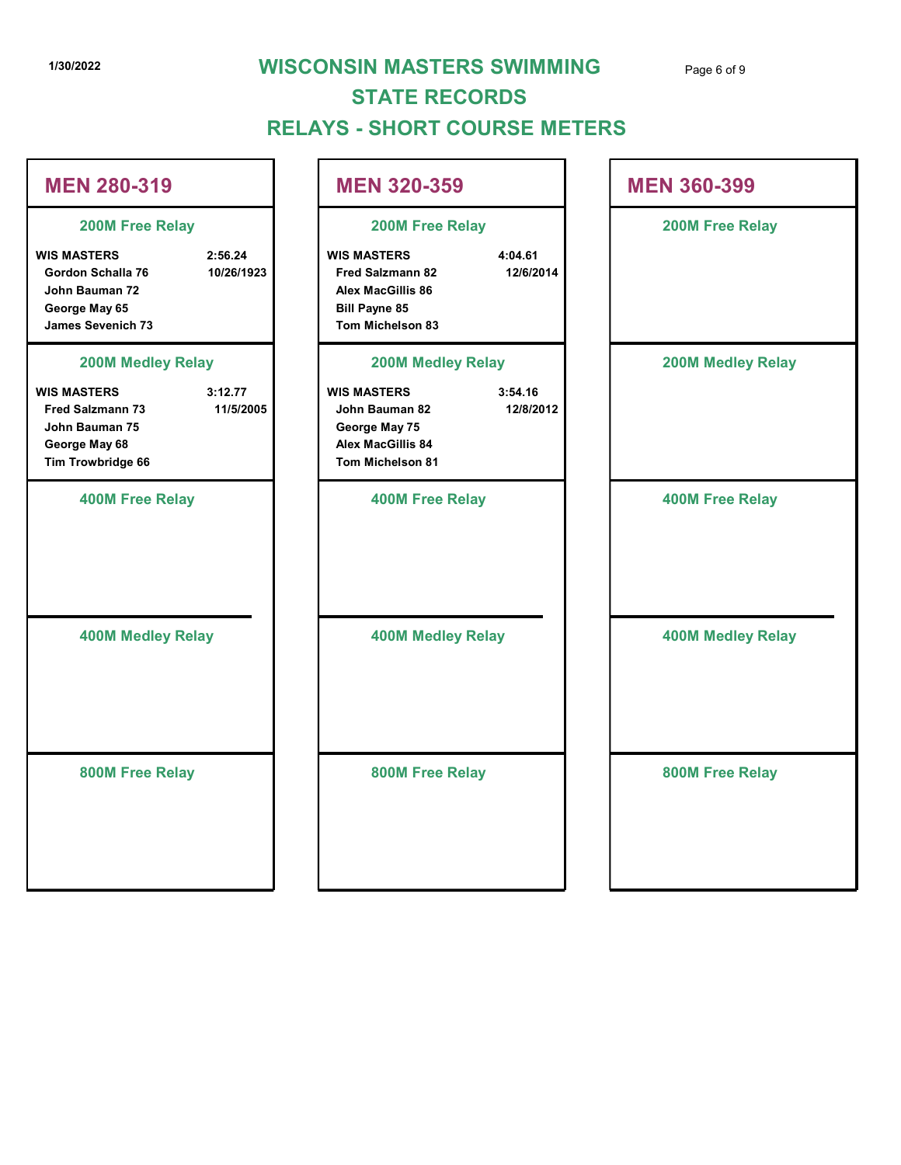# 1/30/2022 WISCONSIN MASTERS SWIMMING Page 6 of 9 RELAYS - SHORT COURSE METERS STATE RECORDS

| 1/30/2022                                                                                                                         |                       | <b>WISCONSIN MASTERS SWIMMING</b><br><b>STATE RECORDS</b><br><b>RELAYS - SHORT COURSE METERS</b>                                                          | Page 6 of 9              |
|-----------------------------------------------------------------------------------------------------------------------------------|-----------------------|-----------------------------------------------------------------------------------------------------------------------------------------------------------|--------------------------|
| <b>MEN 280-319</b>                                                                                                                |                       | <b>MEN 320-359</b>                                                                                                                                        | <b>MEN 360-399</b>       |
| 200M Free Relay<br><b>WIS MASTERS</b><br>Gordon Schalla 76<br>John Bauman 72<br>George May 65<br><b>James Sevenich 73</b>         | 2:56.24<br>10/26/1923 | 200M Free Relay<br><b>WIS MASTERS</b><br>4:04.61<br>12/6/2014<br><b>Fred Salzmann 82</b><br>Alex MacGillis 86<br><b>Bill Payne 85</b><br>Tom Michelson 83 | 200M Free Relay          |
| <b>200M Medley Relay</b><br><b>WIS MASTERS</b><br><b>Fred Salzmann 73</b><br>John Bauman 75<br>George May 68<br>Tim Trowbridge 66 | 3:12.77<br>11/5/2005  | <b>200M Medley Relay</b><br><b>WIS MASTERS</b><br>3:54.16<br>12/8/2012<br>John Bauman 82<br>George May 75<br>Alex MacGillis 84<br>Tom Michelson 81        | <b>200M Medley Relay</b> |
| <b>400M Free Relay</b>                                                                                                            |                       | <b>400M Free Relay</b>                                                                                                                                    | <b>400M Free Relay</b>   |
| <b>400M Medley Relay</b>                                                                                                          |                       | <b>400M Medley Relay</b>                                                                                                                                  | <b>400M Medley Relay</b> |
| 800M Free Relay                                                                                                                   |                       | 800M Free Relay                                                                                                                                           | 800M Free Relay          |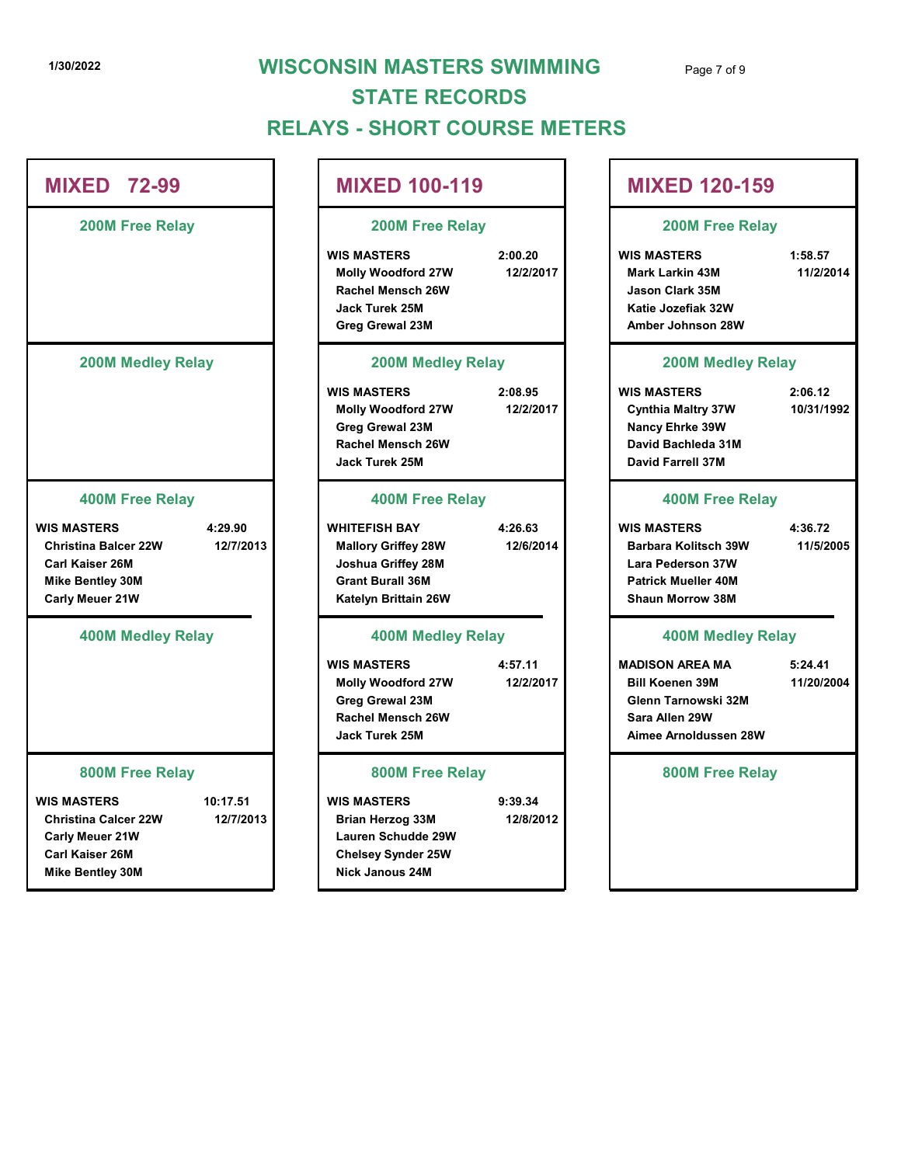## 1/30/2022 WISCONSIN MASTERS SWIMMING Page 7 of 9 RELAYS - SHORT COURSE METERS STATE RECORDS

| <b>MIXED 72-99</b>                                                                                                                                        | <b>MIXED 100-119</b>                                                                                                           |                      | <b>MIXED 12</b>                                                                                                       |
|-----------------------------------------------------------------------------------------------------------------------------------------------------------|--------------------------------------------------------------------------------------------------------------------------------|----------------------|-----------------------------------------------------------------------------------------------------------------------|
| <b>200M Free Relay</b>                                                                                                                                    | <b>200M Free Relay</b>                                                                                                         |                      | 200M Fre                                                                                                              |
|                                                                                                                                                           | <b>WIS MASTERS</b><br><b>Molly Woodford 27W</b><br>Rachel Mensch 26W<br>Jack Turek 25M<br><b>Greg Grewal 23M</b>               | 2:00.20<br>12/2/2017 | <b>WIS MASTERS</b><br><b>Mark Larkin 43M</b><br><b>Jason Clark 35M</b><br>Katie Jozefiak 32<br>Amber Johnson 2        |
| <b>200M Medley Relay</b>                                                                                                                                  | <b>200M Medley Relay</b>                                                                                                       |                      | <b>200M Me</b>                                                                                                        |
|                                                                                                                                                           | <b>WIS MASTERS</b><br><b>Molly Woodford 27W</b><br><b>Greg Grewal 23M</b><br><b>Rachel Mensch 26W</b><br><b>Jack Turek 25M</b> | 2:08.95<br>12/2/2017 | <b>WIS MASTERS</b><br><b>Cynthia Maltry 37</b><br>Nancy Ehrke 39W<br>David Bachleda 3<br><b>David Farrell 37N</b>     |
| <b>400M Free Relay</b>                                                                                                                                    | <b>400M Free Relay</b>                                                                                                         |                      | <b>400M Fre</b>                                                                                                       |
| <b>WIS MASTERS</b><br>4:29.90<br><b>Christina Balcer 22W</b><br>12/7/2013<br><b>Carl Kaiser 26M</b><br><b>Mike Bentley 30M</b><br>Carly Meuer 21W         | <b>WHITEFISH BAY</b><br><b>Mallory Griffey 28W</b><br>Joshua Griffey 28M<br><b>Grant Burall 36M</b><br>Katelyn Brittain 26W    | 4:26.63<br>12/6/2014 | <b>WIS MASTERS</b><br><b>Barbara Kolitsch</b><br>Lara Pederson 37<br>Patrick Mueller 4<br><b>Shaun Morrow 38</b>      |
| <b>400M Medley Relay</b>                                                                                                                                  | <b>400M Medley Relay</b>                                                                                                       |                      | <b>400M Me</b>                                                                                                        |
|                                                                                                                                                           | <b>WIS MASTERS</b><br><b>Molly Woodford 27W</b><br><b>Greg Grewal 23M</b><br>Rachel Mensch 26W<br><b>Jack Turek 25M</b>        | 4:57.11<br>12/2/2017 | <b>MADISON AREA M</b><br><b>Bill Koenen 39M</b><br><b>Glenn Tarnowski</b><br>Sara Allen 29W<br><b>Aimee Arnolduss</b> |
| <b>800M Free Relay</b>                                                                                                                                    | 800M Free Relay                                                                                                                |                      | 800M Fre                                                                                                              |
| <b>WIS MASTERS</b><br>10:17.51<br><b>Christina Calcer 22W</b><br>12/7/2013<br><b>Carly Meuer 21W</b><br><b>Carl Kaiser 26M</b><br><b>Mike Bentley 30M</b> | <b>WIS MASTERS</b><br><b>Brian Herzog 33M</b><br>Lauren Schudde 29W<br><b>Chelsey Synder 25W</b><br><b>Nick Janous 24M</b>     | 9:39.34<br>12/8/2012 |                                                                                                                       |

# NSIN MASTERS SWIMMING<br>
YS - SHORT COURSE METERS<br>
MIXED 100-119<br>
200M Free Relay<br>
WIS MASTERS<br>
MUSING MASTERS<br>
MUSING MASTERS<br>
Musing Masters<br>
Musing Masters<br>
Musing Masters<br>
Musing Masters<br>
Musing Masters<br>
Musing Masters<br> Molly Woodford 27W 12/2/2017 Mark Larkin 43M 11/2/2014 Rachel Mensch 26W Jason Clark 35M Jack Turek 25M Katie Jozefiak 32W Greg Grewal 23M Amber Johnson 28W NSIN MASTERS SWIMMING<br>
YS - SHORT COURSE METERS<br>
MIXED 100-119<br>
200M Free Relay<br>
2:00 20<br>
WIS MASTERS<br>
Moly Woodford 27W<br>
MIXED 120-159<br>
2:00 Pree Relay<br>
2:00 20<br>
WIS MASTERS<br>
Archel Mensch 26W<br>
3:00 Medley Relay<br>
3:00 Med Molly Woodford 27W 12/2/2017 Cynthia Maltry 37W 10/31/1992 Greg Grewal 23M Nancy Ehrke 39W Rachel Mensch 26W David Bachleda 31M Jack Turek 25M David Farrell 37M MIXED 100-119<br>
200M Free Relay<br>
WIS MASTERS<br>
Moly Woodford 27W<br>
MIXED 120-159<br>
200M Free Relay<br>
2.00M Free Relay<br>
MIXED 120-159<br>
200M Free Relay<br>
200M Free Relay<br>
3200M Medley Relay<br>
3200M Medley Relay<br>
3200M Medley Relay<br> Mallory Griffey 28W 12/6/2014 Barbara Kolitsch 39W 11/5/2005 Joshua Griffey 28M Lara Pederson 37W Grant Burall 36M Patrick Mueller 40M Katelyn Brittain 26W Shaun Morrow 38M WIS MASTERS 4:57.11 | MADISON AREA MA 5:24.41 Usik Turek 25M<br>
200M Mediley Relay<br>
200M Mediley Relay<br>
200M Mediley Relay<br>
Molly Woodford 27W 12/2/2017<br>
Moley Growal 23M<br>
Moley Growal 23M<br>
200M Mediley Relay<br>
Rachel Mensch 26W<br>
200M Mediae S1M<br>
200M Mediae S1M<br>
200M Fr Greg Grewal 23M Glenn Tarnowski 32M Rachel Mensch 26W Sara Allen 29W Jack Turek 25M Aimee Arnoldussen 28W Rachel Mensch 26W<br>
Jack Turek 25M 9:39.40 David Bachleda 31M<br>
Malingy Griffty 28M<br>
Joshua Griffey 28M<br>
Joshua Griffey 28M<br>
Grant Burall 36M<br>
Joshua Griffey 28M<br>
400M Medley Relay<br>
Faction Malingy Relay<br>
Shaun Morrow 38M<br>
S Lauren Schudde 29W Chelsey Synder 25W MIXED 100-119 MIXED 120-159 200M Free Relay 200M Free Relay 200M Medley Relay 200M Medley Relay 400M Free Relay 400M Free Relay 400M Medley Relay 400M Medley Relay 800M Free Relay 800M Free Relay 9:39.34 Page 7 of 9<br>
<br>
MIXED 120-159<br>
200M Free Relay<br>
WIS MASTERS 1:58.57<br>
Mark Larkin 43M<br>
Jason Clark 35M<br>
Katie Jozefiak 32W<br>
Amber Johnson 28W Page 7 of 9<br>
S<br>
WISS MASTERS<br>
200M Free Relay<br>
WISS MASTERS<br>
Mark Larkin 43M<br>
Jason Clark 35M<br>
Katie Jozefiak 32W<br>
Amber Johnson 28W<br>
200M Medley Relay<br>
WISS MASTERS<br>
Cynthia Maltry 37W<br>
Pancy Ehrke 39W<br>
David Bachleda 31M MIXED 120-159<br>
200M Free Relay<br>
WIS MASTERS 1:58.57<br>
Mark Larkin 43M 11/2/2014<br>
Jason Clark 35M<br>
Katie Jozefiak 32W<br>
Amber Johnson 28W<br>
200M Medley Relay<br>
WIS MASTERS 2:06.12<br>
Cynthia Maltry 37W 10/31/1992<br>
Nancy Ehrke 39W Katie Jozefiak 32W<br>
Amber Johnson 28W<br>
200M Medley Relay<br>
10/31/1992<br>
Nancy Ehrke 39W<br>
David Bachleda 31M<br>
David Bachleda 31M<br>
A00M Free Relay<br>
11/5/2005<br>
Rarbara Kolitsch 39W<br>
Lara Pederson 37W<br>
Patrick Mueller 40M<br>
Shaun 5:24.41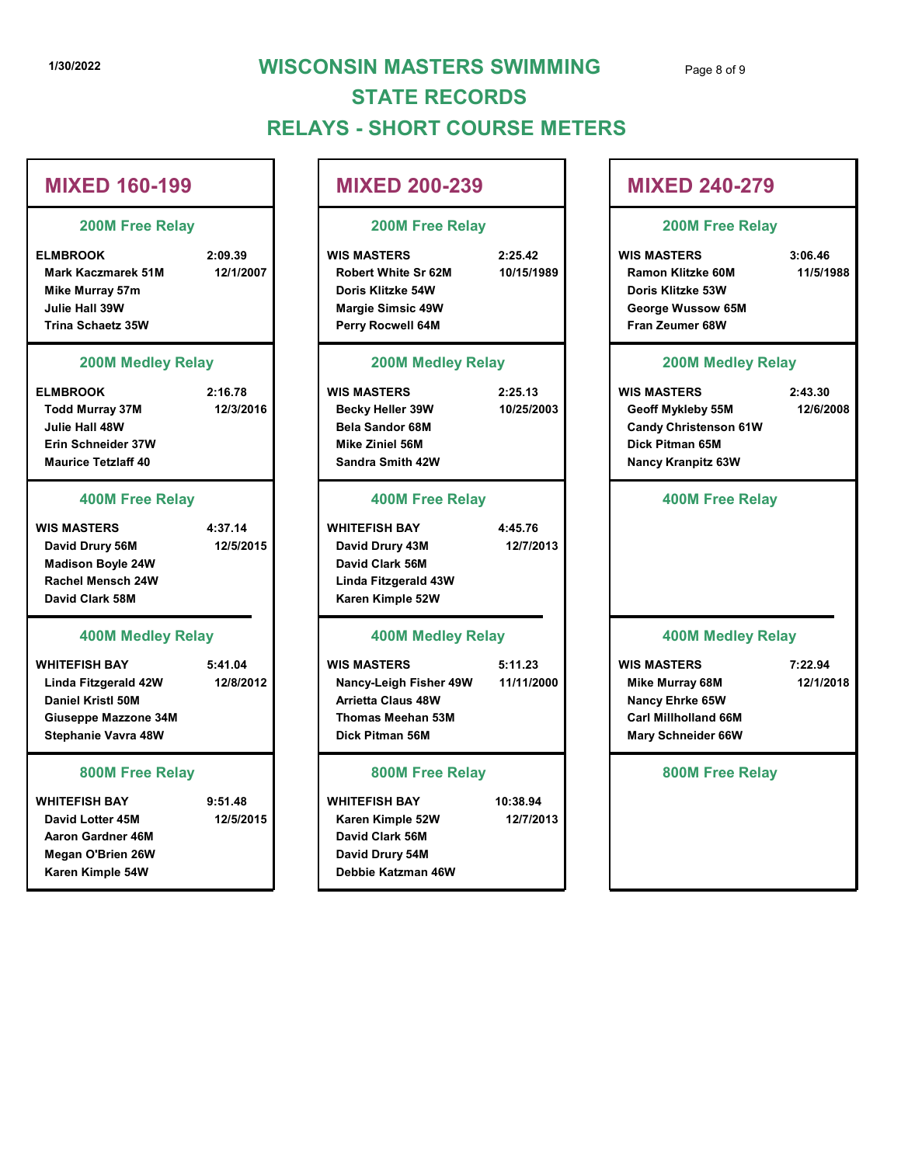# 1/30/2022 WISCONSIN MASTERS SWIMMING Page 8 of 9 RELAYS - SHORT COURSE METERS STATE RECORDS

# 1/30/2022<br>
1/30/2022<br>
WISCONSIN MASTERS SWIMMING<br>
STATE RECORDS<br>
RELAYS - SHORT COURSE METERS<br>
MIXED 160-199<br>
200M Free Relay<br>
200M Free Relay<br>
200M Free Relay<br>
200M Free Relay<br>
200M Free Relay<br>
200M Free Relay<br>
200M Free Mark Kaczmarek 51M 12/1/2007 Mike Murray 57m **No. 1988 Mike Murray 57m** and 1990 **Mike Murray 57m** and 1990 **Mike Murray 54W** Julie Hall 39W Trina Schaetz 35W Perry Rocwell 64M 1790/2022<br>
1790/2022<br>
2000 Free Relay<br>
ELMBROOK 2:09.39<br>
2000 Free Relay<br>
MIXED 200-239<br>
2000 Free Relay<br>
Mark Keczmerek 51M<br>
Mixted Strip 2000 Free Relay<br>
2000 Free Relay<br>
Mark Keczmerek 51M<br>
Mixted Strip 2000 Free Relay Todd Murray 37M 12/3/2016 | Becky Heller 39W 10/25/2003 Julie Hall 48W Erin Schneider 37W Maurice Tetzlaff 40 MIXED 160-199<br>
200M Free Relay<br>
ELMBROOK 2:09.39<br>
Mark Kaczmarek 51M 12/1/2007<br>
Mis MasTERS 2:25.42<br>
Mis MasTERS 2:25.42<br>
Mis MasTERS 2:25.42<br>
Mis MasTERS 2:25.42<br>
Julie Hall 39W<br>
Ninte Murray 37M<br>
200M Modley Relay<br>
Perry David Drury 56M 12/5/2015 **David Drury 43M** 12/7/2013 Madison Boyle 24W Rachel Mensch 24W Linda Fitzgerald 43W David Clark 58M Karen Kimple 52W WHITEFISH BAY 5:41.04 Unie Hall 39W Margie Simsic 49W<br>
Trina Schaetz 35W Perry Rocwell 64M<br>
LINEROOK (Eelzy Fara Zeunes<br>
LINEROOK (Eelzy 12/8/2015<br>
Julie Hall 48W 12/3/2016<br>
Mischaele Sim Schaetz 37W Beack y Heller 39W 10/25/2003<br>
Mischaele S Daniel Kristl 50M Giuseppe Mazzone 34M Stephanie Vavra 48W WHITEFISH BAY 9:51.48 WHITEFISH BAY Erin Schneider 37W<br>
Maurice Tetzlaff 40<br>
Maurice Tetzlaff 40<br>
1990M Free Relay<br>
1990M Free Relay<br>
1990M Free Relay<br>
2000M Free Relay<br>
2000M Free Relay<br>
2000M Free Relay<br>
2000M Free Relay<br>
2000M Medley Relay<br>
2000M Medley R Aaron Gardner 46M Megan O'Brien 26W Karen Kimple 54W MIXED 160-199 200M Free Relay 200M Medley Relay 400M Free Relay 400M Medley Relay 800M Free Relay Thomas Meehan 53M David Clark 56M David Drury 54M Debbie Katzman 46W 800M Free Relay

# WIS MASTERS 5:11.23 David Drury 43M David Clark 56M MIXED 200-239 200M Free Relay 200M Medley Relay 400M Free Relay 400M Medley Relay

10:38.94

# NSIN MASTERS SWIMMING<br>
YS - SHORT COURSE METERS<br>
MIXED 200-239<br>
200M Free Relay<br>
WIS MASTERS<br>
Robert White Sr 62M<br>
Doris Kiltzke 54W<br>
Margie Simsic 49W<br>
Margie Simsic 49W<br>
Perry Rocwell 64M<br>
Perry Rocwell 64M<br>
Perry Rocwel Robert White Sr 62M 10/15/1989 Ramon Klitzke 60M 11/5/1988 Doris Klitzke 54W Doris Klitzke 53W Margie Simsic 49W George Wussow 65M NSIN MASTERS SWIMMING<br>
YS - SHORT COURSE METERS<br>
WIS MASTERS<br>
NUXED 200-239<br>
200M Free Relay<br>
2:25.42<br>
Robert White Sr 62M<br>
Robert White Sr 62M<br>
Mass Masters<br>
Margie Simsic 48W<br>
Den's Kittleke 64M<br>
Margie Simsic 48W<br>
2:25. Becky Heller 39W 10/25/2003 Geoff Mykleby 55M 12/6/2008 Bela Sandor 68M Candy Christenson 61W Mike Ziniel 56M Dick Pitman 65M Sandra Smith 42W Nancy Kranpitz 63W MIXED 2000-239<br>
200M Free Relay<br>
WIS MASTERS<br>
Robert White Sr 62M<br>
Noris Kitzke 64W<br>
Doris Kitzke 64W<br>
Doris Kitzke 64W<br>
Nary Rocwell 64M<br>
Perry Rocwell 64M<br>
200M Medley Relay<br>
Perry Rocwell 64M<br>
200M Medley Relay<br>
2:25.13 WIS MASTERS 5:11.23 WIS MASTERS Margie Simsic 49W<br>
Perry Rocwell 64M<br>
200M Medley Relay<br>
1002572003<br>
Bela Sandor 63M<br>
Bela Sandor 63M<br>
Bela Sandor 63M<br>
Sandra Smith 42W<br>
400M Free Relay<br>
David Clark 56M<br>
David Clark 56M<br>
David Clark 56M<br>
Alancy Kranpite Arrietta Claus 48W Nancy Ehrke 65W Dick Pitman 56M Mary Schneider 66W Mike Ziniel 56M<br>
Sandra Smith 42W<br>
400M Free Relay<br>
Mancy Kranpitz 63W<br>
David Clark 56M<br>
David Clark 56M<br>
David Clark 56M<br>
Alays AASTERS<br>
IS Mancy Easy<br>
400M Medley Relay<br>
400M Medley Relay<br>
Mancy Leigh Fisher 49W<br>
Marcy E Page 8 of 9<br>
MIXED 240-279<br>
200M Free Relay<br>
WIS MASTERS 3:06.46<br>
Ramon Klitzke 60M 11/5/1988<br>
Doris Klitzke 53W<br>
George Wussow 65M<br>
Fran Zeumer 68W Ramon Klitzke 60M Fran Zeumer 68W Page 8 of 9<br>
MIXED 240-279<br>
200M Free Relay<br>
WIS MASTERS 3:06.46<br>
Ramon Klitzke 60M 11/5/1988<br>
Doris Klitzke 53W<br>
George Wussow 65M<br>
Fran Zeumer 68W<br>
200M Medley Relay<br>
WIS MASTERS 2:43.30<br>
Geoff Mykleby 55M 12/6/2008<br>
Can George Wussow 65M<br>
Fran Zeumer 68W<br>
200M Medley Relay<br>
13 MASTERS 2:43.30<br>
Geoff Mykleby 55M<br>
Candy Christenson 61W<br>
Dick Pitman 65M<br>
Nancy Kranpitz 63W<br>
400M Free Relay<br>
12/1/2018<br>
12/1/2018<br>
Mike Murray 68M<br>
Nancy Ehrke Carl Millholland 66M MIXED 240-279 200M Free Relay 200M Medley Relay 400M Free Relay 400M Medley Relay 800M Free Relay 7:22.94